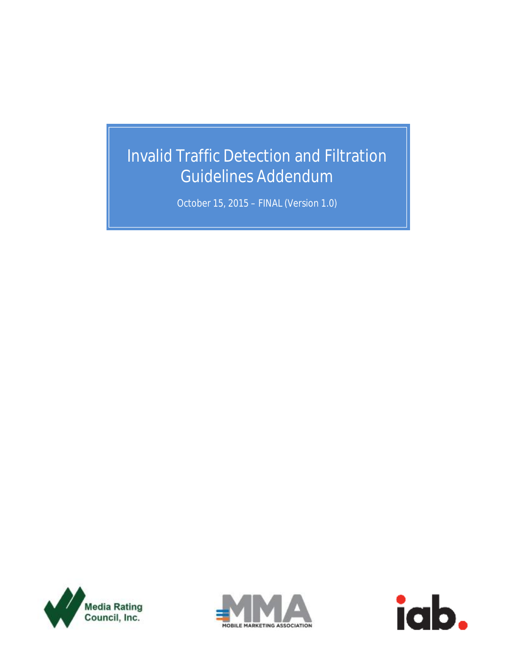# Invalid Traffic Detection and Filtration Guidelines Addendum

October 15, 2015 – FINAL (Version 1.0)





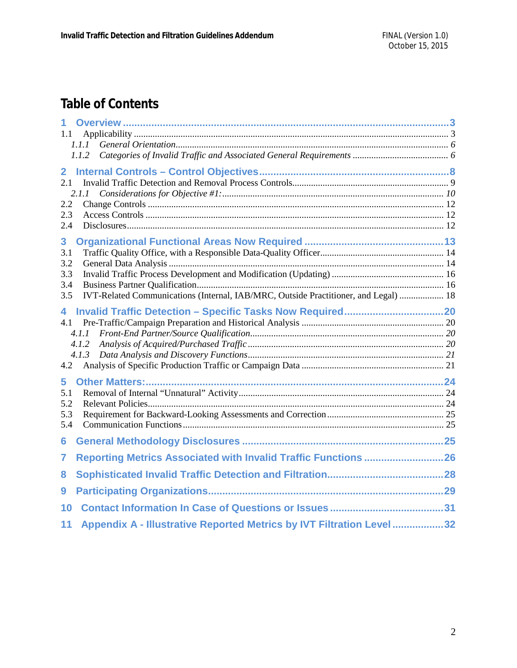## **Table of Contents**

| 1.1                                                                                        |  |
|--------------------------------------------------------------------------------------------|--|
| 1.1.1                                                                                      |  |
| 1.1.2                                                                                      |  |
| $\overline{2}$                                                                             |  |
| 2.1                                                                                        |  |
| 2.1.1                                                                                      |  |
| 2.2                                                                                        |  |
| 2.3                                                                                        |  |
| 2.4                                                                                        |  |
| 3                                                                                          |  |
| 3.1                                                                                        |  |
| 3.2                                                                                        |  |
| 3.3<br>3.4                                                                                 |  |
| IVT-Related Communications (Internal, IAB/MRC, Outside Practitioner, and Legal)  18<br>3.5 |  |
| 4                                                                                          |  |
| 4.1                                                                                        |  |
| 4.1.1                                                                                      |  |
| 4.1.2                                                                                      |  |
| 4.1.3                                                                                      |  |
| 4.2                                                                                        |  |
| 5                                                                                          |  |
| 5.1                                                                                        |  |
| 5.2                                                                                        |  |
| 5.3<br>5.4                                                                                 |  |
|                                                                                            |  |
| 6                                                                                          |  |
| Reporting Metrics Associated with Invalid Traffic Functions 26<br>7                        |  |
| 8                                                                                          |  |
| 9                                                                                          |  |
| 10                                                                                         |  |
| Appendix A - Illustrative Reported Metrics by IVT Filtration Level 32<br>11                |  |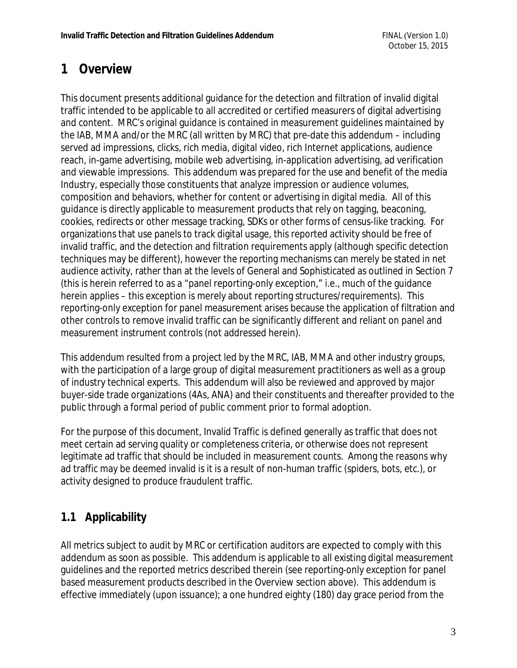## **1 Overview**

This document presents additional guidance for the detection and filtration of invalid digital traffic intended to be applicable to all accredited or certified measurers of digital advertising and content. MRC's original guidance is contained in measurement guidelines maintained by the IAB, MMA and/or the MRC (all written by MRC) that pre-date this addendum – including served ad impressions, clicks, rich media, digital video, rich Internet applications, audience reach, in-game advertising, mobile web advertising, in-application advertising, ad verification and viewable impressions. This addendum was prepared for the use and benefit of the media Industry, especially those constituents that analyze impression or audience volumes, composition and behaviors, whether for content or advertising in digital media. All of this guidance is directly applicable to measurement products that rely on tagging, beaconing, cookies, redirects or other message tracking, SDKs or other forms of census-like tracking. For organizations that use panels to track digital usage, this reported activity should be free of invalid traffic, and the detection and filtration requirements apply (although specific detection techniques may be different), however the reporting mechanisms can merely be stated in net audience activity, rather than at the levels of General and Sophisticated as outlined in Section 7 (this is herein referred to as a "panel reporting-only exception," i.e., much of the guidance herein applies – this exception is merely about reporting structures/requirements). This reporting-only exception for panel measurement arises because the application of filtration and other controls to remove invalid traffic can be significantly different and reliant on panel and measurement instrument controls (not addressed herein).

This addendum resulted from a project led by the MRC, IAB, MMA and other industry groups, with the participation of a large group of digital measurement practitioners as well as a group of industry technical experts. This addendum will also be reviewed and approved by major buyer-side trade organizations (4As, ANA) and their constituents and thereafter provided to the public through a formal period of public comment prior to formal adoption.

For the purpose of this document, Invalid Traffic is defined generally as traffic that does not meet certain ad serving quality or completeness criteria, or otherwise does not represent legitimate ad traffic that should be included in measurement counts. Among the reasons why ad traffic may be deemed invalid is it is a result of non-human traffic (spiders, bots, etc.), or activity designed to produce fraudulent traffic.

### **1.1 Applicability**

All metrics subject to audit by MRC or certification auditors are expected to comply with this addendum as soon as possible. This addendum is applicable to all existing digital measurement guidelines and the reported metrics described therein (see reporting-only exception for panel based measurement products described in the Overview section above). This addendum is effective immediately (upon issuance); a one hundred eighty (180) day grace period from the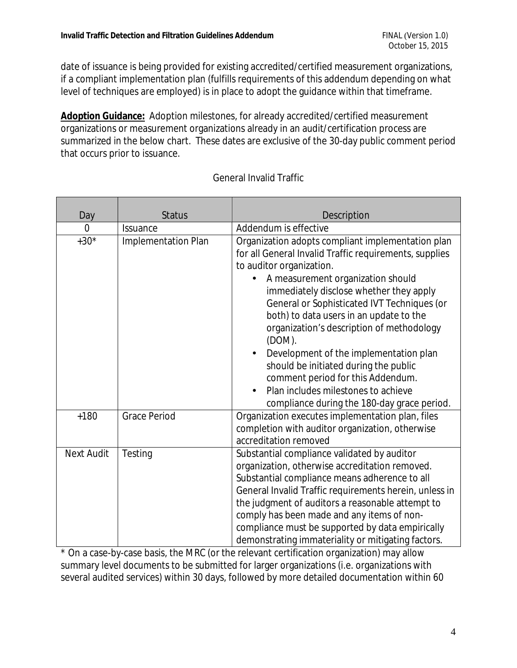date of issuance is being provided for existing accredited/certified measurement organizations, if a compliant implementation plan (fulfills requirements of this addendum depending on what level of techniques are employed) is in place to adopt the guidance within that timeframe.

**Adoption Guidance:** Adoption milestones, for already accredited/certified measurement organizations or measurement organizations already in an audit/certification process are summarized in the below chart. These dates are exclusive of the 30-day public comment period that occurs prior to issuance.

| Day               | <b>Status</b>              |                                                                            |  |  |  |  |  |  |
|-------------------|----------------------------|----------------------------------------------------------------------------|--|--|--|--|--|--|
| 0                 | <b>Issuance</b>            | <b>Description</b><br>Addendum is effective                                |  |  |  |  |  |  |
| $+30*$            |                            |                                                                            |  |  |  |  |  |  |
|                   | <b>Implementation Plan</b> | Organization adopts compliant implementation plan                          |  |  |  |  |  |  |
|                   |                            | for all General Invalid Traffic requirements, supplies                     |  |  |  |  |  |  |
|                   |                            | to auditor organization.                                                   |  |  |  |  |  |  |
|                   |                            | A measurement organization should                                          |  |  |  |  |  |  |
|                   |                            | immediately disclose whether they apply                                    |  |  |  |  |  |  |
|                   |                            | General or Sophisticated IVT Techniques (or                                |  |  |  |  |  |  |
|                   |                            | both) to data users in an update to the                                    |  |  |  |  |  |  |
|                   |                            | organization's description of methodology                                  |  |  |  |  |  |  |
|                   |                            | $(DOM)$ .                                                                  |  |  |  |  |  |  |
|                   |                            | Development of the implementation plan                                     |  |  |  |  |  |  |
|                   |                            | should be initiated during the public<br>comment period for this Addendum. |  |  |  |  |  |  |
|                   |                            |                                                                            |  |  |  |  |  |  |
|                   |                            | Plan includes milestones to achieve                                        |  |  |  |  |  |  |
|                   |                            | compliance during the 180-day grace period.                                |  |  |  |  |  |  |
| $+180$            | <b>Grace Period</b>        | Organization executes implementation plan, files                           |  |  |  |  |  |  |
|                   |                            | completion with auditor organization, otherwise                            |  |  |  |  |  |  |
|                   |                            | accreditation removed                                                      |  |  |  |  |  |  |
| <b>Next Audit</b> | Testing                    | Substantial compliance validated by auditor                                |  |  |  |  |  |  |
|                   |                            | organization, otherwise accreditation removed.                             |  |  |  |  |  |  |
|                   |                            | Substantial compliance means adherence to all                              |  |  |  |  |  |  |
|                   |                            | General Invalid Traffic requirements herein, unless in                     |  |  |  |  |  |  |
|                   |                            | the judgment of auditors a reasonable attempt to                           |  |  |  |  |  |  |
|                   |                            | comply has been made and any items of non-                                 |  |  |  |  |  |  |
|                   |                            | compliance must be supported by data empirically                           |  |  |  |  |  |  |
|                   |                            | demonstrating immateriality or mitigating factors.                         |  |  |  |  |  |  |

#### General Invalid Traffic

\* On a case-by-case basis, the MRC (or the relevant certification organization) may allow summary level documents to be submitted for larger organizations (i.e. organizations with several audited services) within 30 days, followed by more detailed documentation within 60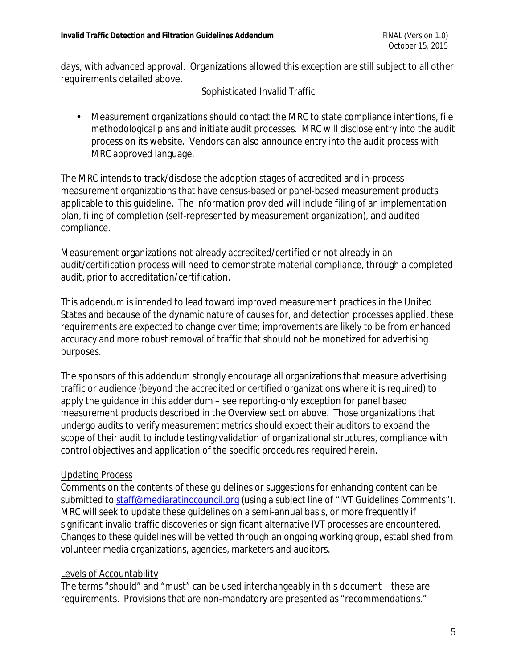days, with advanced approval. Organizations allowed this exception are still subject to all other requirements detailed above.

#### Sophisticated Invalid Traffic

• Measurement organizations should contact the MRC to state compliance intentions, file methodological plans and initiate audit processes. MRC will disclose entry into the audit process on its website. Vendors can also announce entry into the audit process with MRC approved language.

The MRC intends to track/disclose the adoption stages of accredited and in-process measurement organizations that have census-based or panel-based measurement products applicable to this guideline. The information provided will include filing of an implementation plan, filing of completion (self-represented by measurement organization), and audited compliance.

Measurement organizations not already accredited/certified or not already in an audit/certification process will need to demonstrate material compliance, through a completed audit, prior to accreditation/certification.

This addendum is intended to lead toward improved measurement practices in the United States and because of the dynamic nature of causes for, and detection processes applied, these requirements are expected to change over time; improvements are likely to be from enhanced accuracy and more robust removal of traffic that should not be monetized for advertising purposes.

The sponsors of this addendum strongly encourage all organizations that measure advertising traffic or audience (beyond the accredited or certified organizations where it is required) to apply the guidance in this addendum – see reporting-only exception for panel based measurement products described in the Overview section above. Those organizations that undergo audits to verify measurement metrics should expect their auditors to expand the scope of their audit to include testing/validation of organizational structures, compliance with control objectives and application of the specific procedures required herein.

#### Updating Process

Comments on the contents of these guidelines or suggestions for enhancing content can be submitted to [staff@mediaratingcouncil.org](mailto:staff@mediaratingcouncil.org) (using a subject line of "IVT Guidelines Comments"). MRC will seek to update these guidelines on a semi-annual basis, or more frequently if significant invalid traffic discoveries or significant alternative IVT processes are encountered. Changes to these guidelines will be vetted through an ongoing working group, established from volunteer media organizations, agencies, marketers and auditors.

#### Levels of Accountability

The terms "should" and "must" can be used interchangeably in this document – these are requirements. Provisions that are non-mandatory are presented as "recommendations."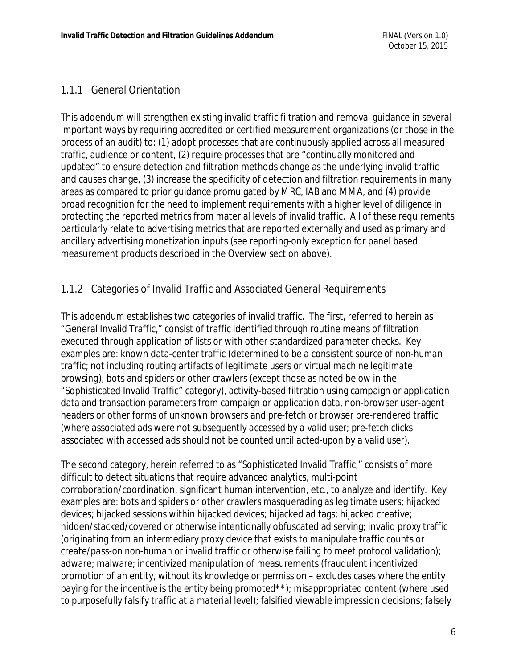#### 1.1.1 General Orientation

This addendum will strengthen existing invalid traffic filtration and removal guidance in several important ways by requiring accredited or certified measurement organizations (or those in the process of an audit) to: (1) adopt processes that are continuously applied across all measured traffic, audience or content, (2) require processes that are "continually monitored and updated" to ensure detection and filtration methods change as the underlying invalid traffic and causes change, (3) increase the specificity of detection and filtration requirements in many areas as compared to prior guidance promulgated by MRC, IAB and MMA, and (4) provide broad recognition for the need to implement requirements with a higher level of diligence in protecting the reported metrics from material levels of invalid traffic. All of these requirements particularly relate to advertising metrics that are reported externally and used as primary and ancillary advertising monetization inputs (see reporting-only exception for panel based measurement products described in the Overview section above).

#### 1.1.2 Categories of Invalid Traffic and Associated General Requirements

This addendum establishes two categories of invalid traffic. The first, referred to herein as "General Invalid Traffic," consist of traffic identified through routine means of filtration executed through application of lists or with other standardized parameter checks. Key examples are: known data-center traffic *(determined to be a consistent source of non-human traffic; not including routing artifacts of legitimate users or virtual machine legitimate browsing),* bots and spiders or other crawlers (except those as noted below in the "Sophisticated Invalid Traffic" category), activity-based filtration using campaign or application data and transaction parameters from campaign or application data, non-browser user-agent headers or other forms of unknown browsers and pre-fetch or browser pre-rendered traffic *(where associated ads were not subsequently accessed by a valid user; pre-fetch clicks associated with accessed ads should not be counted until acted-upon by a valid user)*.

The second category, herein referred to as "Sophisticated Invalid Traffic," consists of more difficult to detect situations that require advanced analytics, multi-point corroboration/coordination, significant human intervention, etc., to analyze and identify. Key examples are: bots and spiders or other crawlers masquerading as legitimate users; hijacked devices; hijacked sessions within hijacked devices; hijacked ad tags; hijacked creative; hidden/stacked/covered or otherwise intentionally obfuscated ad serving; invalid proxy traffic *(originating from an intermediary proxy device that exists to manipulate traffic counts or create/pass-on non-human or invalid traffic or otherwise failing to meet protocol validation*); adware; malware; incentivized manipulation of measurements *(fraudulent incentivized promotion of an entity, without its knowledge or permission – excludes cases where the entity paying for the incentive is the entity being promoted\*\*);* misappropriated content (*where used to purposefully falsify traffic at a material level*); falsified viewable impression decisions; falsely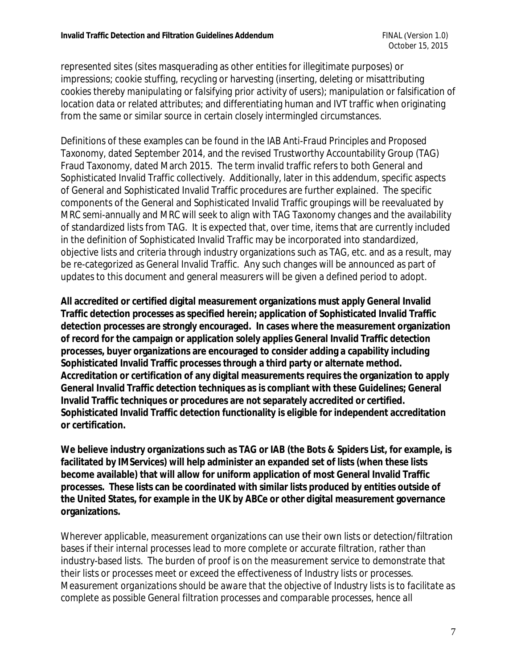represented sites (sites masquerading as other entities for illegitimate purposes) or impressions; cookie stuffing, recycling or harvesting (*inserting, deleting or misattributing cookies thereby manipulating or falsifying prior activity of users*); manipulation or falsification of location data or related attributes; and differentiating human and IVT traffic when originating from the same or similar source in certain closely intermingled circumstances.

Definitions of these examples can be found in the *IAB Anti-Fraud Principles and Proposed Taxonomy*, dated September 2014, and the revised Trustworthy Accountability Group (TAG) Fraud Taxonomy, dated March 2015. The term invalid traffic refers to both General and Sophisticated Invalid Traffic collectively. Additionally, later in this addendum, specific aspects of General and Sophisticated Invalid Traffic procedures are further explained. The specific components of the General and Sophisticated Invalid Traffic groupings will be reevaluated by MRC semi-annually and MRC will seek to align with TAG Taxonomy changes and the availability of standardized lists from TAG. It is expected that, over time, items that are currently included in the definition of Sophisticated Invalid Traffic may be incorporated into standardized, objective lists and criteria through industry organizations such as TAG, etc. and as a result, may be re-categorized as General Invalid Traffic. Any such changes will be announced as part of updates to this document and general measurers will be given a defined period to adopt.

**All accredited or certified digital measurement organizations must apply General Invalid Traffic detection processes as specified herein; application of Sophisticated Invalid Traffic detection processes are strongly encouraged. In cases where the measurement organization of record for the campaign or application solely applies General Invalid Traffic detection processes, buyer organizations are encouraged to consider adding a capability including Sophisticated Invalid Traffic processes through a third party or alternate method. Accreditation or certification of any digital measurements requires the organization to apply General Invalid Traffic detection techniques as is compliant with these Guidelines; General Invalid Traffic techniques or procedures are not separately accredited or certified. Sophisticated Invalid Traffic detection functionality is eligible for independent accreditation or certification.** 

**We believe industry organizations such as TAG or IAB (the Bots & Spiders List, for example, is facilitated by IMServices) will help administer an expanded set of lists (when these lists become available) that will allow for uniform application of most General Invalid Traffic processes. These lists can be coordinated with similar lists produced by entities outside of the United States, for example in the UK by ABCe or other digital measurement governance organizations.** 

Wherever applicable, measurement organizations can use their own lists or detection/filtration bases if their internal processes lead to more complete or accurate filtration, rather than industry-based lists. The burden of proof is on the measurement service to demonstrate that their lists or processes meet or exceed the effectiveness of Industry lists or processes. *Measurement organizations should be aware that the objective of Industry lists is to facilitate as complete as possible General filtration processes and comparable processes, hence all*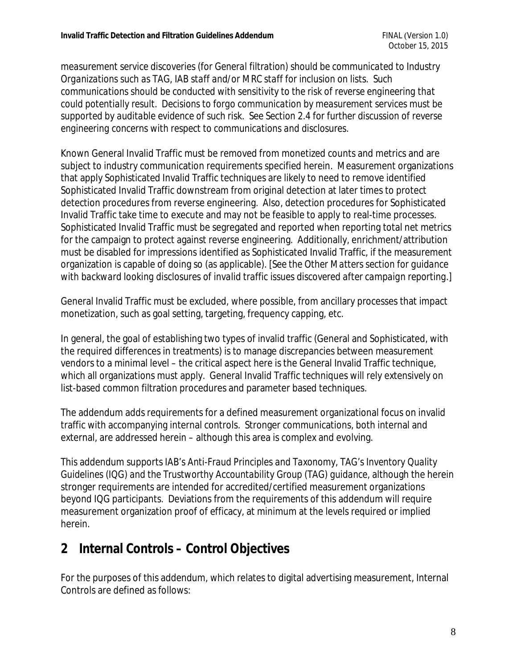*measurement service discoveries (for General filtration) should be communicated to Industry Organizations such as TAG, IAB staff and/or MRC staff for inclusion on lists. Such communications should be conducted with sensitivity to the risk of reverse engineering that could potentially result. Decisions to forgo communication by measurement services must be supported by auditable evidence of such risk. See Section 2.4 for further discussion of reverse engineering concerns with respect to communications and disclosures.*

Known General Invalid Traffic must be removed from monetized counts and metrics and are subject to industry communication requirements specified herein. Measurement organizations that apply Sophisticated Invalid Traffic techniques are likely to need to remove identified Sophisticated Invalid Traffic downstream from original detection at later times to protect detection procedures from reverse engineering. Also, detection procedures for Sophisticated Invalid Traffic take time to execute and may not be feasible to apply to real-time processes. Sophisticated Invalid Traffic must be segregated and reported when reporting total net metrics for the campaign to protect against reverse engineering. Additionally, enrichment/attribution must be disabled for impressions identified as Sophisticated Invalid Traffic, if the measurement organization is capable of doing so (as applicable). *[See the Other Matters section for guidance with backward looking disclosures of invalid traffic issues discovered after campaign reporting.]*

General Invalid Traffic must be excluded, where possible, from ancillary processes that impact monetization, such as goal setting, targeting, frequency capping, etc.

In general, the goal of establishing two types of invalid traffic (General and Sophisticated, with the required differences in treatments) is to manage discrepancies between measurement vendors to a minimal level – the critical aspect here is the General Invalid Traffic technique, which all organizations must apply. General Invalid Traffic techniques will rely extensively on list-based common filtration procedures and parameter based techniques.

The addendum adds requirements for a defined measurement organizational focus on invalid traffic with accompanying internal controls. Stronger communications, both internal and external, are addressed herein – although this area is complex and evolving.

This addendum supports IAB's *Anti-Fraud Principles and Taxonomy*, *TAG's Inventory Quality Guidelines (IQG) and the Trustworthy Accountability Group (TAG) guidance*, although the herein stronger requirements are intended for accredited/certified measurement organizations beyond IQG participants. Deviations from the requirements of this addendum will require measurement organization proof of efficacy, at minimum at the levels required or implied herein.

## **2 Internal Controls – Control Objectives**

For the purposes of this addendum, which relates to digital advertising measurement, Internal Controls are defined as follows: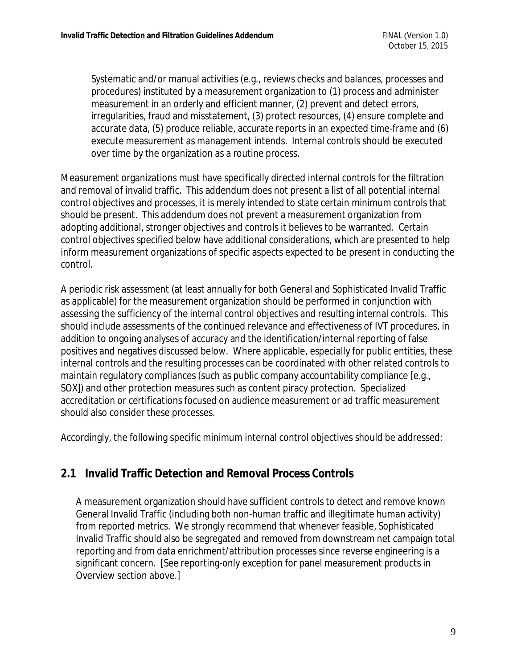Systematic and/or manual activities (e.g., reviews checks and balances, processes and procedures) instituted by a measurement organization to (1) process and administer measurement in an orderly and efficient manner, (2) prevent and detect errors, irregularities, fraud and misstatement, (3) protect resources, (4) ensure complete and accurate data, (5) produce reliable, accurate reports in an expected time-frame and (6) execute measurement as management intends. Internal controls should be executed over time by the organization as a routine process.

Measurement organizations must have specifically directed internal controls for the filtration and removal of invalid traffic. This addendum does not present a list of all potential internal control objectives and processes, it is merely intended to state certain minimum controls that should be present. This addendum does not prevent a measurement organization from adopting additional, stronger objectives and controls it believes to be warranted. Certain control objectives specified below have additional considerations, which are presented to help inform measurement organizations of specific aspects expected to be present in conducting the control.

A periodic risk assessment (at least annually for both General and Sophisticated Invalid Traffic as applicable) for the measurement organization should be performed in conjunction with assessing the sufficiency of the internal control objectives and resulting internal controls. This should include assessments of the continued relevance and effectiveness of IVT procedures, in addition to ongoing analyses of accuracy and the identification/internal reporting of false positives and negatives discussed below. Where applicable, especially for public entities, these internal controls and the resulting processes can be coordinated with other related controls to maintain regulatory compliances (such as public company accountability compliance [e.g., SOX]) and other protection measures such as content piracy protection. Specialized accreditation or certifications focused on audience measurement or ad traffic measurement should also consider these processes.

Accordingly, the following specific minimum internal control objectives should be addressed:

### **2.1 Invalid Traffic Detection and Removal Process Controls**

A measurement organization should have sufficient controls to detect and remove known General Invalid Traffic (including both non-human traffic and illegitimate human activity) from reported metrics. We strongly recommend that whenever feasible, Sophisticated Invalid Traffic should also be segregated and removed from downstream net campaign total reporting and from data enrichment/attribution processes since reverse engineering is a significant concern. [See reporting-only exception for panel measurement products in Overview section above.]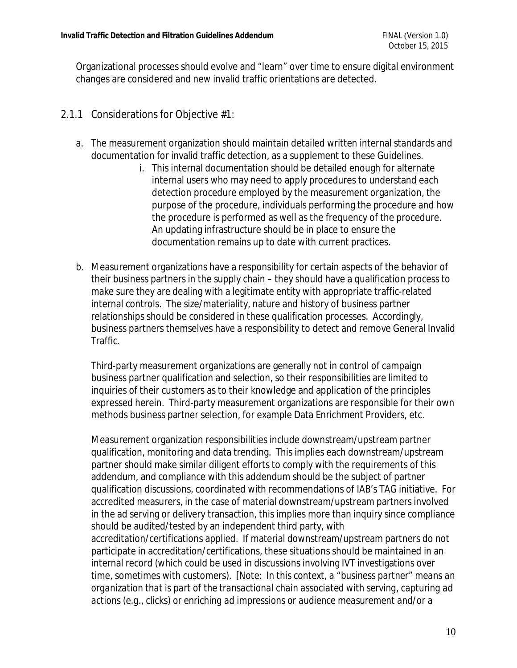Organizational processes should evolve and "learn" over time to ensure digital environment changes are considered and new invalid traffic orientations are detected.

#### 2.1.1 Considerations for Objective #1:

- a. The measurement organization should maintain detailed written internal standards and documentation for invalid traffic detection, as a supplement to these Guidelines.
	- i. This internal documentation should be detailed enough for alternate internal users who may need to apply procedures to understand each detection procedure employed by the measurement organization, the purpose of the procedure, individuals performing the procedure and how the procedure is performed as well as the frequency of the procedure. An updating infrastructure should be in place to ensure the documentation remains up to date with current practices.
- b. Measurement organizations have a responsibility for certain aspects of the behavior of their business partners in the supply chain – they should have a qualification process to make sure they are dealing with a legitimate entity with appropriate traffic-related internal controls. The size/materiality, nature and history of business partner relationships should be considered in these qualification processes. Accordingly, business partners themselves have a responsibility to detect and remove General Invalid Traffic.

Third-party measurement organizations are generally not in control of campaign business partner qualification and selection, so their responsibilities are limited to inquiries of their customers as to their knowledge and application of the principles expressed herein. Third-party measurement organizations are responsible for their own methods business partner selection, for example Data Enrichment Providers, etc.

Measurement organization responsibilities include downstream/upstream partner qualification, monitoring and data trending. This implies each downstream/upstream partner should make similar diligent efforts to comply with the requirements of this addendum, and compliance with this addendum should be the subject of partner qualification discussions, coordinated with recommendations of IAB's TAG initiative. For accredited measurers, in the case of material downstream/upstream partners involved in the ad serving or delivery transaction, this implies more than inquiry since compliance should be audited/tested by an independent third party, with accreditation/certifications applied. If material downstream/upstream partners do not participate in accreditation/certifications, these situations should be maintained in an internal record (which could be used in discussions involving IVT investigations over time, sometimes with customers). *[Note: In this context, a "business partner" means an organization that is part of the transactional chain associated with serving, capturing ad actions (e.g., clicks) or enriching ad impressions or audience measurement and/or a*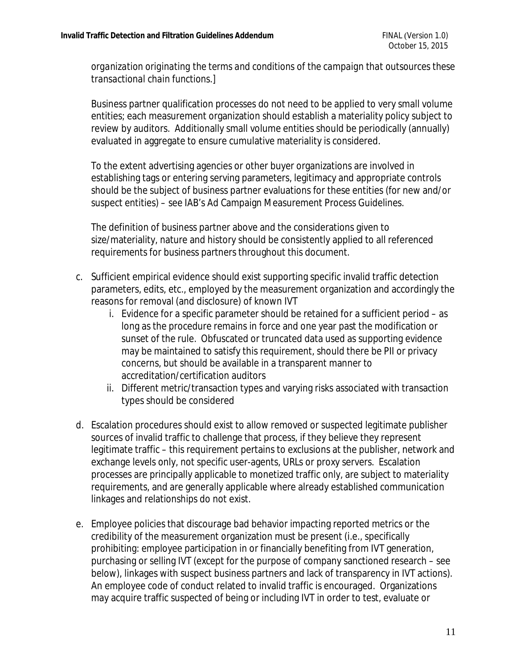*organization originating the terms and conditions of the campaign that outsources these transactional chain functions.]*

Business partner qualification processes do not need to be applied to very small volume entities; each measurement organization should establish a materiality policy subject to review by auditors. Additionally small volume entities should be periodically (annually) evaluated in aggregate to ensure cumulative materiality is considered.

To the extent advertising agencies or other buyer organizations are involved in establishing tags or entering serving parameters, legitimacy and appropriate controls should be the subject of business partner evaluations for these entities (for new and/or suspect entities) – see IAB's Ad Campaign Measurement Process Guidelines.

The definition of business partner above and the considerations given to size/materiality, nature and history should be consistently applied to all referenced requirements for business partners throughout this document.

- c. Sufficient empirical evidence should exist supporting specific invalid traffic detection parameters, edits, etc., employed by the measurement organization and accordingly the reasons for removal (and disclosure) of known IVT
	- i. Evidence for a specific parameter should be retained for a sufficient period as long as the procedure remains in force and one year past the modification or sunset of the rule. Obfuscated or truncated data used as supporting evidence may be maintained to satisfy this requirement, should there be PII or privacy concerns, but should be available in a transparent manner to accreditation/certification auditors
	- ii. Different metric/transaction types and varying risks associated with transaction types should be considered
- d. Escalation procedures should exist to allow removed or suspected legitimate publisher sources of invalid traffic to challenge that process, if they believe they represent legitimate traffic – this requirement pertains to exclusions at the publisher, network and exchange levels only, not specific user-agents, URLs or proxy servers. Escalation processes are principally applicable to monetized traffic only, are subject to materiality requirements, and are generally applicable where already established communication linkages and relationships do not exist.
- e. Employee policies that discourage bad behavior impacting reported metrics or the credibility of the measurement organization must be present (i.e., specifically prohibiting: employee participation in or financially benefiting from IVT generation, purchasing or selling IVT (except for the purpose of company sanctioned research – see below), linkages with suspect business partners and lack of transparency in IVT actions). An employee code of conduct related to invalid traffic is encouraged. Organizations may acquire traffic suspected of being or including IVT in order to test, evaluate or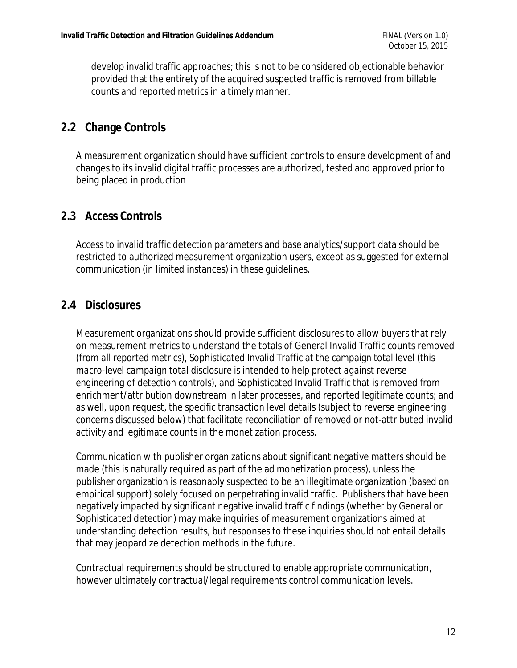develop invalid traffic approaches; this is not to be considered objectionable behavior provided that the entirety of the acquired suspected traffic is removed from billable counts and reported metrics in a timely manner.

#### **2.2 Change Controls**

A measurement organization should have sufficient controls to ensure development of and changes to its invalid digital traffic processes are authorized, tested and approved prior to being placed in production

#### **2.3 Access Controls**

Access to invalid traffic detection parameters and base analytics/support data should be restricted to authorized measurement organization users, except as suggested for external communication (in limited instances) in these guidelines.

### **2.4 Disclosures**

Measurement organizations should provide sufficient disclosures to allow buyers that rely on measurement metrics to understand the totals of General Invalid Traffic counts removed *(from all reported metrics),* Sophisticated Invalid Traffic at the campaign total level *(this macro-level campaign total disclosure is intended to help protect against reverse engineering of detection controls),* and Sophisticated Invalid Traffic that is removed from enrichment/attribution downstream in later processes, and reported legitimate counts; and as well, upon request, the specific transaction level details (subject to reverse engineering concerns discussed below) that facilitate reconciliation of removed or not-attributed invalid activity and legitimate counts in the monetization process.

Communication with publisher organizations about significant negative matters should be made (this is naturally required as part of the ad monetization process), unless the publisher organization is reasonably suspected to be an illegitimate organization (based on empirical support) solely focused on perpetrating invalid traffic. Publishers that have been negatively impacted by significant negative invalid traffic findings (whether by General or Sophisticated detection) may make inquiries of measurement organizations aimed at understanding detection results, but responses to these inquiries should not entail details that may jeopardize detection methods in the future.

Contractual requirements should be structured to enable appropriate communication, however ultimately contractual/legal requirements control communication levels.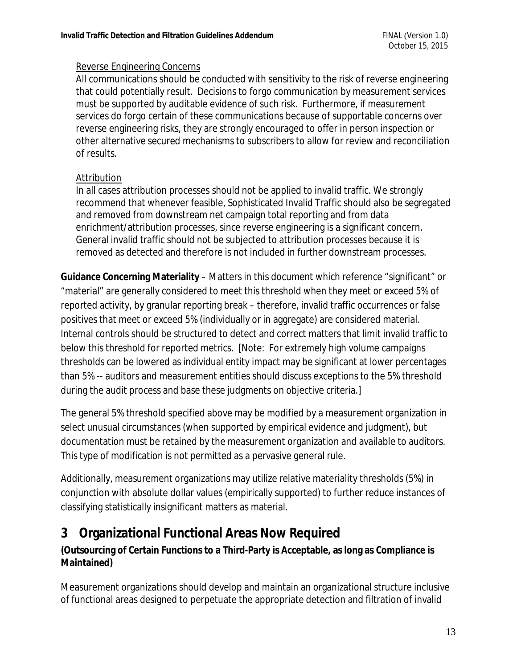#### Reverse Engineering Concerns

All communications should be conducted with sensitivity to the risk of reverse engineering that could potentially result. Decisions to forgo communication by measurement services must be supported by auditable evidence of such risk. Furthermore, if measurement services do forgo certain of these communications because of supportable concerns over reverse engineering risks, they are strongly encouraged to offer in person inspection or other alternative secured mechanisms to subscribers to allow for review and reconciliation of results.

#### Attribution

In all cases attribution processes should not be applied to invalid traffic. We strongly recommend that whenever feasible, Sophisticated Invalid Traffic should also be segregated and removed from downstream net campaign total reporting and from data enrichment/attribution processes, since reverse engineering is a significant concern. General invalid traffic should not be subjected to attribution processes because it is removed as detected and therefore is not included in further downstream processes.

**Guidance Concerning Materiality** – Matters in this document which reference "significant" or "material" are generally considered to meet this threshold when they meet or exceed 5% of reported activity, by granular reporting break – therefore, invalid traffic occurrences or false positives that meet or exceed 5% (individually or in aggregate) are considered material. Internal controls should be structured to detect and correct matters that limit invalid traffic to below this threshold for reported metrics. [Note: For extremely high volume campaigns thresholds can be lowered as individual entity impact may be significant at lower percentages than 5% -- auditors and measurement entities should discuss exceptions to the 5% threshold during the audit process and base these judgments on objective criteria.]

The general 5% threshold specified above may be modified by a measurement organization in select unusual circumstances (when supported by empirical evidence and judgment), but documentation must be retained by the measurement organization and available to auditors. This type of modification is not permitted as a pervasive general rule.

Additionally, measurement organizations may utilize relative materiality thresholds (5%) in conjunction with absolute dollar values (empirically supported) to further reduce instances of classifying statistically insignificant matters as material.

## **3 Organizational Functional Areas Now Required**

**(Outsourcing of Certain Functions to a Third-Party is Acceptable, as long as Compliance is Maintained)** 

Measurement organizations should develop and maintain an organizational structure inclusive of functional areas designed to perpetuate the appropriate detection and filtration of invalid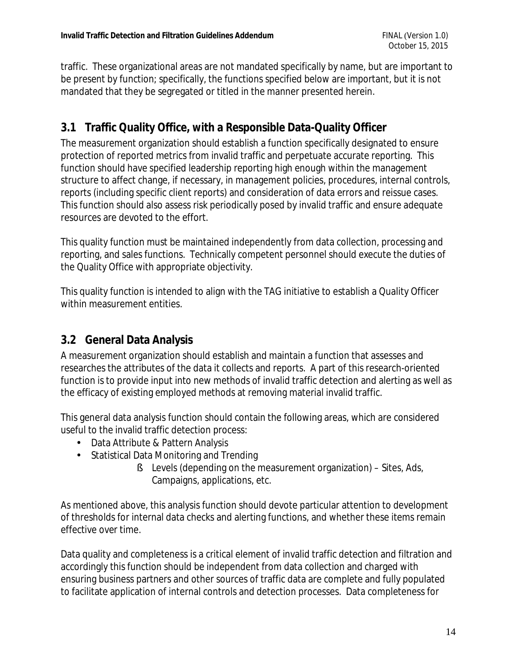traffic. These organizational areas are not mandated specifically by name, but are important to be present by function; specifically, the functions specified below are important, but it is not mandated that they be segregated or titled in the manner presented herein.

### **3.1 Traffic Quality Office, with a Responsible Data-Quality Officer**

The measurement organization should establish a function specifically designated to ensure protection of reported metrics from invalid traffic and perpetuate accurate reporting. This function should have specified leadership reporting high enough within the management structure to affect change, if necessary, in management policies, procedures, internal controls, reports (including specific client reports) and consideration of data errors and reissue cases. This function should also assess risk periodically posed by invalid traffic and ensure adequate resources are devoted to the effort.

This quality function must be maintained independently from data collection, processing and reporting, and sales functions. Technically competent personnel should execute the duties of the Quality Office with appropriate objectivity.

This quality function is intended to align with the TAG initiative to establish a Quality Officer within measurement entities.

### **3.2 General Data Analysis**

A measurement organization should establish and maintain a function that assesses and researches the attributes of the data it collects and reports. A part of this research-oriented function is to provide input into new methods of invalid traffic detection and alerting as well as the efficacy of existing employed methods at removing material invalid traffic.

This general data analysis function should contain the following areas, which are considered useful to the invalid traffic detection process:

- Data Attribute & Pattern Analysis
- Statistical Data Monitoring and Trending
	- § Levels (depending on the measurement organization) Sites, Ads, Campaigns, applications, etc.

As mentioned above, this analysis function should devote particular attention to development of thresholds for internal data checks and alerting functions, and whether these items remain effective over time.

Data quality and completeness is a critical element of invalid traffic detection and filtration and accordingly this function should be independent from data collection and charged with ensuring business partners and other sources of traffic data are complete and fully populated to facilitate application of internal controls and detection processes. Data completeness for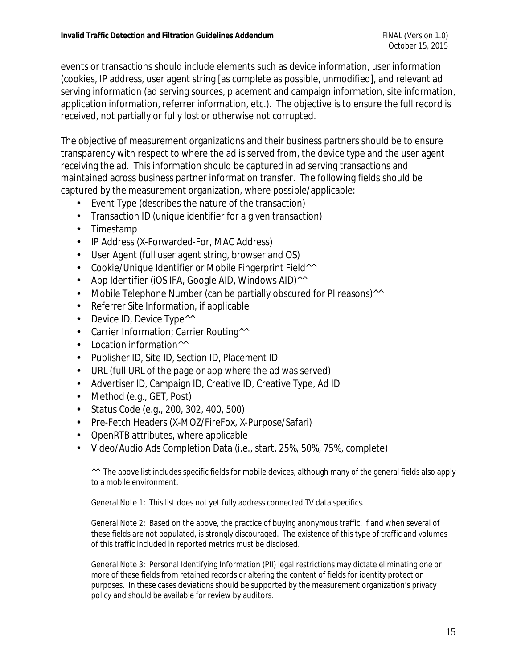events or transactions should include elements such as device information, user information (cookies, IP address, user agent string [as complete as possible, unmodified], and relevant ad serving information (ad serving sources, placement and campaign information, site information, application information, referrer information, etc.). The objective is to ensure the full record is received, not partially or fully lost or otherwise not corrupted.

The objective of measurement organizations and their business partners should be to ensure transparency with respect to where the ad is served from, the device type and the user agent receiving the ad. This information should be captured in ad serving transactions and maintained across business partner information transfer. The following fields should be captured by the measurement organization, where possible/applicable:

- Event Type (describes the nature of the transaction)
- Transaction ID (unique identifier for a given transaction)
- Timestamp
- IP Address (X-Forwarded-For, MAC Address)
- User Agent (full user agent string, browser and OS)
- Cookie/Unique Identifier or Mobile Fingerprint Field<sup>^^</sup>
- App Identifier (iOS IFA, Google AID, Windows AID)<sup>^^</sup>
- Mobile Telephone Number (can be partially obscured for PI reasons)^^
- Referrer Site Information, if applicable
- Device ID, Device Type<sup>^^</sup>
- Carrier Information; Carrier Routing<sup>^^</sup>
- Location information<sup>^^</sup>
- Publisher ID, Site ID, Section ID, Placement ID
- URL (full URL of the page or app where the ad was served)
- Advertiser ID, Campaign ID, Creative ID, Creative Type, Ad ID
- Method (e.g., GET, Post)
- Status Code (e.g., 200, 302, 400, 500)
- Pre-Fetch Headers (X-MOZ/FireFox, X-Purpose/Safari)
- OpenRTB attributes, where applicable
- Video/Audio Ads Completion Data (i.e., start, 25%, 50%, 75%, complete)

<sup>^^</sup> The above list includes specific fields for mobile devices, although many of the general fields also apply to a mobile environment.

General Note 1: This list does not yet fully address connected TV data specifics.

General Note 2: Based on the above, the practice of buying anonymous traffic, if and when several of these fields are not populated, is strongly discouraged. The existence of this type of traffic and volumes of this traffic included in reported metrics must be disclosed.

General Note 3: Personal Identifying Information (PII) legal restrictions may dictate eliminating one or more of these fields from retained records or altering the content of fields for identity protection purposes. In these cases deviations should be supported by the measurement organization's privacy policy and should be available for review by auditors.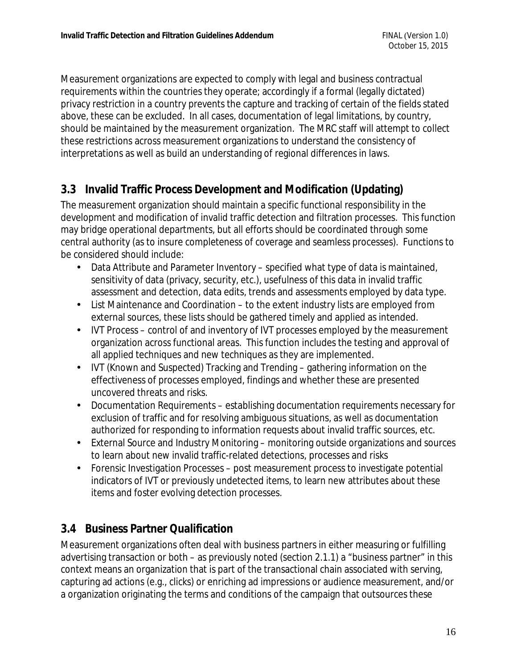Measurement organizations are expected to comply with legal and business contractual requirements within the countries they operate; accordingly if a formal (legally dictated) privacy restriction in a country prevents the capture and tracking of certain of the fields stated above, these can be excluded. In all cases, documentation of legal limitations, by country, should be maintained by the measurement organization. The MRC staff will attempt to collect these restrictions across measurement organizations to understand the consistency of interpretations as well as build an understanding of regional differences in laws.

### **3.3 Invalid Traffic Process Development and Modification (Updating)**

The measurement organization should maintain a specific functional responsibility in the development and modification of invalid traffic detection and filtration processes. This function may bridge operational departments, but all efforts should be coordinated through some central authority (as to insure completeness of coverage and seamless processes). Functions to be considered should include:

- Data Attribute and Parameter Inventory specified what type of data is maintained, sensitivity of data (privacy, security, etc.), usefulness of this data in invalid traffic assessment and detection, data edits, trends and assessments employed by data type.
- List Maintenance and Coordination to the extent industry lists are employed from external sources, these lists should be gathered timely and applied as intended.
- IVT Process control of and inventory of IVT processes employed by the measurement organization across functional areas. This function includes the testing and approval of all applied techniques and new techniques as they are implemented.
- IVT (Known and Suspected) Tracking and Trending gathering information on the effectiveness of processes employed, findings and whether these are presented uncovered threats and risks.
- Documentation Requirements establishing documentation requirements necessary for exclusion of traffic and for resolving ambiguous situations, as well as documentation authorized for responding to information requests about invalid traffic sources, etc.
- External Source and Industry Monitoring monitoring outside organizations and sources to learn about new invalid traffic-related detections, processes and risks
- Forensic Investigation Processes post measurement process to investigate potential indicators of IVT or previously undetected items, to learn new attributes about these items and foster evolving detection processes.

### **3.4 Business Partner Qualification**

Measurement organizations often deal with business partners in either measuring or fulfilling advertising transaction or both – as previously noted (section 2.1.1) a "business partner" in this context means an organization that is part of the transactional chain associated with serving, capturing ad actions (e.g., clicks) or enriching ad impressions or audience measurement, and/or a organization originating the terms and conditions of the campaign that outsources these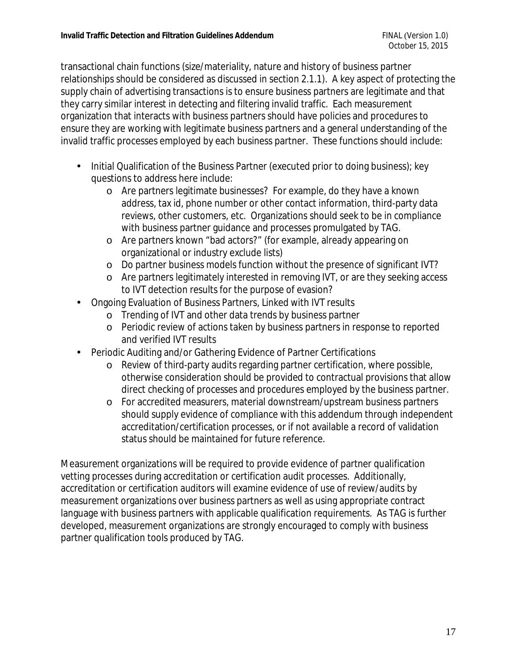transactional chain functions (size/materiality, nature and history of business partner relationships should be considered as discussed in section 2.1.1). A key aspect of protecting the supply chain of advertising transactions is to ensure business partners are legitimate and that they carry similar interest in detecting and filtering invalid traffic. Each measurement organization that interacts with business partners should have policies and procedures to ensure they are working with legitimate business partners and a general understanding of the invalid traffic processes employed by each business partner. These functions should include:

- Initial Qualification of the Business Partner (executed prior to doing business); key questions to address here include:
	- o Are partners legitimate businesses? For example, do they have a known address, tax id, phone number or other contact information, third-party data reviews, other customers, etc. Organizations should seek to be in compliance with business partner guidance and processes promulgated by TAG.
	- o Are partners known "bad actors?" (for example, already appearing on organizational or industry exclude lists)
	- o Do partner business models function without the presence of significant IVT?
	- o Are partners legitimately interested in removing IVT, or are they seeking access to IVT detection results for the purpose of evasion?
- Ongoing Evaluation of Business Partners, Linked with IVT results
	- o Trending of IVT and other data trends by business partner
	- o Periodic review of actions taken by business partners in response to reported and verified IVT results
- Periodic Auditing and/or Gathering Evidence of Partner Certifications
	- o Review of third-party audits regarding partner certification, where possible, otherwise consideration should be provided to contractual provisions that allow direct checking of processes and procedures employed by the business partner.
	- o For accredited measurers, material downstream/upstream business partners should supply evidence of compliance with this addendum through independent accreditation/certification processes, or if not available a record of validation status should be maintained for future reference.

Measurement organizations will be required to provide evidence of partner qualification vetting processes during accreditation or certification audit processes. Additionally, accreditation or certification auditors will examine evidence of use of review/audits by measurement organizations over business partners as well as using appropriate contract language with business partners with applicable qualification requirements. As TAG is further developed, measurement organizations are strongly encouraged to comply with business partner qualification tools produced by TAG.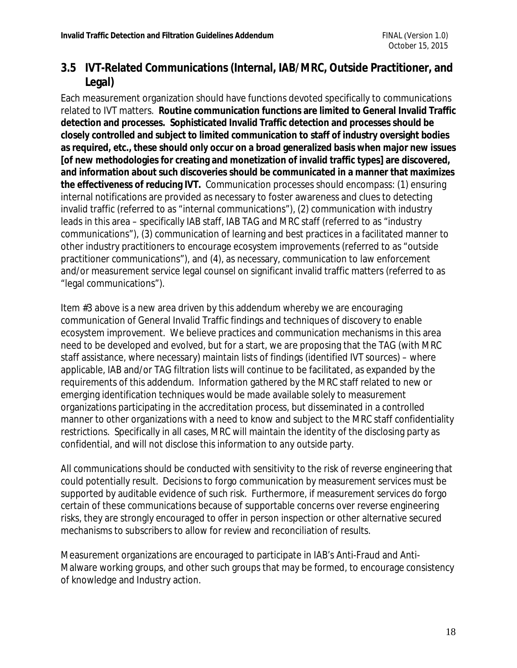### **3.5 IVT-Related Communications (Internal, IAB/MRC, Outside Practitioner, and Legal)**

Each measurement organization should have functions devoted specifically to communications related to IVT matters. **Routine communication functions are limited to General Invalid Traffic detection and processes. Sophisticated Invalid Traffic detection and processes should be closely controlled and subject to limited communication to staff of industry oversight bodies as required, etc., these should only occur on a broad generalized basis when major new issues [of new methodologies for creating and monetization of invalid traffic types] are discovered, and information about such discoveries should be communicated in a manner that maximizes the effectiveness of reducing IVT.** Communication processes should encompass: (1) ensuring internal notifications are provided as necessary to foster awareness and clues to detecting invalid traffic (referred to as "internal communications"), (2) communication with industry leads in this area – specifically IAB staff, IAB TAG and MRC staff (referred to as "industry communications"), (3) communication of learning and best practices in a facilitated manner to other industry practitioners to encourage ecosystem improvements (referred to as "outside practitioner communications"), and (4), as necessary, communication to law enforcement and/or measurement service legal counsel on significant invalid traffic matters (referred to as "legal communications").

Item #3 above is a new area driven by this addendum whereby we are encouraging communication of General Invalid Traffic findings and techniques of discovery to enable ecosystem improvement. We believe practices and communication mechanisms in this area need to be developed and evolved, but for a start, we are proposing that the TAG (with MRC staff assistance, where necessary) maintain lists of findings (identified IVT sources) – where applicable, IAB and/or TAG filtration lists will continue to be facilitated, as expanded by the requirements of this addendum. Information gathered by the MRC staff related to new or emerging identification techniques would be made available solely to measurement organizations participating in the accreditation process, but disseminated in a controlled manner to other organizations with a need to know and subject to the MRC staff confidentiality restrictions. Specifically in all cases, MRC will maintain the identity of the disclosing party as confidential, and will not disclose this information to any outside party.

All communications should be conducted with sensitivity to the risk of reverse engineering that could potentially result. Decisions to forgo communication by measurement services must be supported by auditable evidence of such risk. Furthermore, if measurement services do forgo certain of these communications because of supportable concerns over reverse engineering risks, they are strongly encouraged to offer in person inspection or other alternative secured mechanisms to subscribers to allow for review and reconciliation of results.

Measurement organizations are encouraged to participate in IAB's Anti-Fraud and Anti-Malware working groups, and other such groups that may be formed, to encourage consistency of knowledge and Industry action.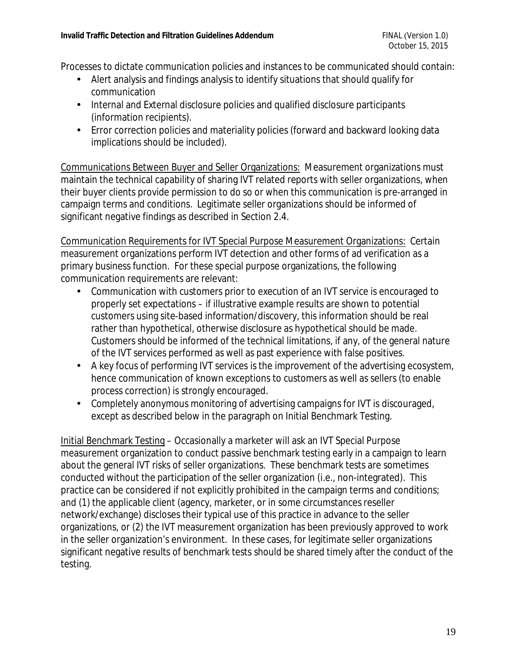Processes to dictate communication policies and instances to be communicated should contain:

- Alert analysis and findings analysis to identify situations that should qualify for communication
- Internal and External disclosure policies and qualified disclosure participants (information recipients).
- Error correction policies and materiality policies (forward and backward looking data implications should be included).

Communications Between Buyer and Seller Organizations: Measurement organizations must maintain the technical capability of sharing IVT related reports with seller organizations, when their buyer clients provide permission to do so or when this communication is pre-arranged in campaign terms and conditions. Legitimate seller organizations should be informed of significant negative findings as described in Section 2.4.

Communication Requirements for IVT Special Purpose Measurement Organizations: Certain measurement organizations perform IVT detection and other forms of ad verification as a primary business function. For these special purpose organizations, the following communication requirements are relevant:

- Communication with customers prior to execution of an IVT service is encouraged to properly set expectations – if illustrative example results are shown to potential customers using site-based information/discovery, this information should be real rather than hypothetical, otherwise disclosure as hypothetical should be made. Customers should be informed of the technical limitations, if any, of the general nature of the IVT services performed as well as past experience with false positives.
- A key focus of performing IVT services is the improvement of the advertising ecosystem, hence communication of known exceptions to customers as well as sellers (to enable process correction) is strongly encouraged.
- Completely anonymous monitoring of advertising campaigns for IVT is discouraged, except as described below in the paragraph on Initial Benchmark Testing.

Initial Benchmark Testing – Occasionally a marketer will ask an IVT Special Purpose measurement organization to conduct passive benchmark testing early in a campaign to learn about the general IVT risks of seller organizations. These benchmark tests are sometimes conducted without the participation of the seller organization (i.e., non-integrated). This practice can be considered if not explicitly prohibited in the campaign terms and conditions; and (1) the applicable client (agency, marketer, or in some circumstances reseller network/exchange) discloses their typical use of this practice in advance to the seller organizations, or (2) the IVT measurement organization has been previously approved to work in the seller organization's environment. In these cases, for legitimate seller organizations significant negative results of benchmark tests should be shared timely after the conduct of the testing.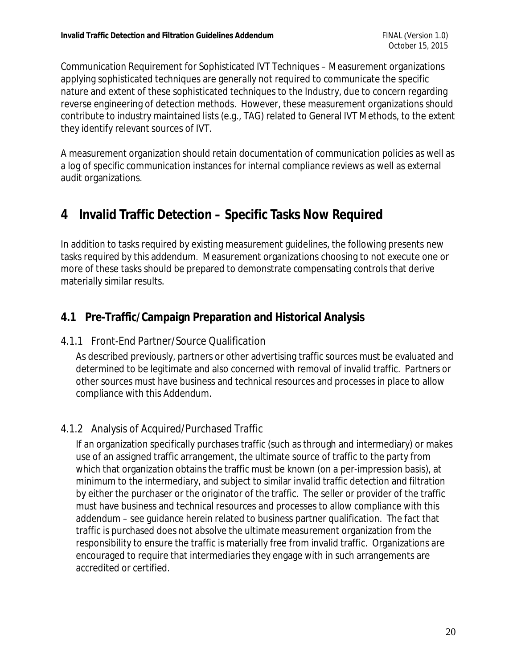Communication Requirement for Sophisticated IVT Techniques – Measurement organizations applying sophisticated techniques are generally not required to communicate the specific nature and extent of these sophisticated techniques to the Industry, due to concern regarding reverse engineering of detection methods. However, these measurement organizations should contribute to industry maintained lists (e.g., TAG) related to General IVT Methods, to the extent they identify relevant sources of IVT.

A measurement organization should retain documentation of communication policies as well as a log of specific communication instances for internal compliance reviews as well as external audit organizations.

## **4 Invalid Traffic Detection – Specific Tasks Now Required**

In addition to tasks required by existing measurement guidelines, the following presents new tasks required by this addendum. Measurement organizations choosing to not execute one or more of these tasks should be prepared to demonstrate compensating controls that derive materially similar results.

### **4.1 Pre-Traffic/Campaign Preparation and Historical Analysis**

#### 4.1.1 Front-End Partner/Source Qualification

As described previously, partners or other advertising traffic sources must be evaluated and determined to be legitimate and also concerned with removal of invalid traffic. Partners or other sources must have business and technical resources and processes in place to allow compliance with this Addendum.

#### 4.1.2 Analysis of Acquired/Purchased Traffic

If an organization specifically purchases traffic (such as through and intermediary) or makes use of an assigned traffic arrangement, the ultimate source of traffic to the party from which that organization obtains the traffic must be known (on a per-impression basis), at minimum to the intermediary, and subject to similar invalid traffic detection and filtration by either the purchaser or the originator of the traffic. The seller or provider of the traffic must have business and technical resources and processes to allow compliance with this addendum – see guidance herein related to business partner qualification. The fact that traffic is purchased does not absolve the ultimate measurement organization from the responsibility to ensure the traffic is materially free from invalid traffic. Organizations are encouraged to require that intermediaries they engage with in such arrangements are accredited or certified.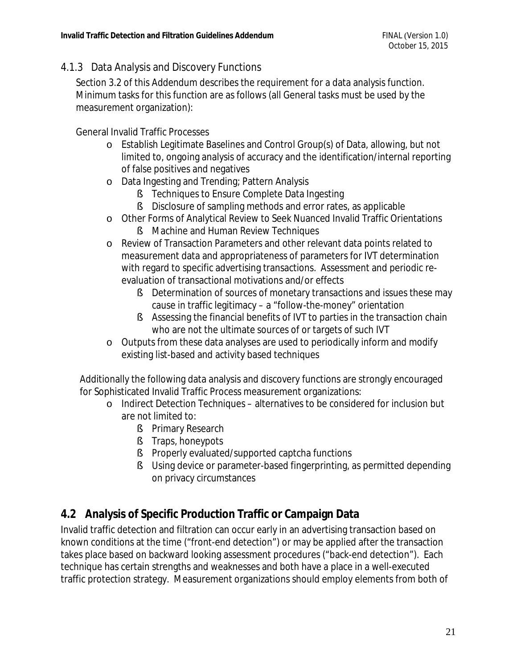#### 4.1.3 Data Analysis and Discovery Functions

Section 3.2 of this Addendum describes the requirement for a data analysis function. Minimum tasks for this function are as follows (all General tasks must be used by the measurement organization):

General Invalid Traffic Processes

- o Establish Legitimate Baselines and Control Group(s) of Data, allowing, but not limited to, ongoing analysis of accuracy and the identification/internal reporting of false positives and negatives
- o Data Ingesting and Trending; Pattern Analysis
	- § Techniques to Ensure Complete Data Ingesting
	- § Disclosure of sampling methods and error rates, as applicable
- o Other Forms of Analytical Review to Seek Nuanced Invalid Traffic Orientations
	- § Machine and Human Review Techniques
- o Review of Transaction Parameters and other relevant data points related to measurement data and appropriateness of parameters for IVT determination with regard to specific advertising transactions. Assessment and periodic reevaluation of transactional motivations and/or effects
	- § Determination of sources of monetary transactions and issues these may cause in traffic legitimacy – a "follow-the-money" orientation
	- § Assessing the financial benefits of IVT to parties in the transaction chain who are not the ultimate sources of or targets of such IVT
- o Outputs from these data analyses are used to periodically inform and modify existing list-based and activity based techniques

Additionally the following data analysis and discovery functions are strongly encouraged for Sophisticated Invalid Traffic Process measurement organizations:

- o Indirect Detection Techniques alternatives to be considered for inclusion but are not limited to:
	- § Primary Research
	- § Traps, honeypots
	- § Properly evaluated/supported captcha functions
	- § Using device or parameter-based fingerprinting, as permitted depending on privacy circumstances

### **4.2 Analysis of Specific Production Traffic or Campaign Data**

Invalid traffic detection and filtration can occur early in an advertising transaction based on known conditions at the time ("front-end detection") or may be applied after the transaction takes place based on backward looking assessment procedures ("back-end detection"). Each technique has certain strengths and weaknesses and both have a place in a well-executed traffic protection strategy. Measurement organizations should employ elements from both of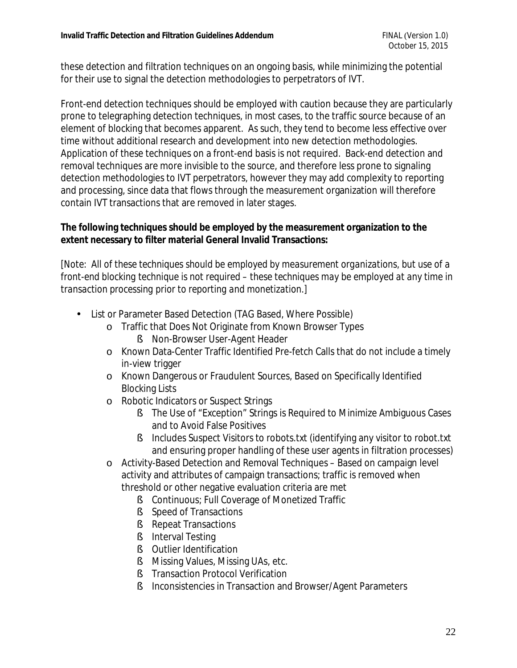these detection and filtration techniques on an ongoing basis, while minimizing the potential for their use to signal the detection methodologies to perpetrators of IVT.

Front-end detection techniques should be employed with caution because they are particularly prone to telegraphing detection techniques, in most cases, to the traffic source because of an element of blocking that becomes apparent. As such, they tend to become less effective over time without additional research and development into new detection methodologies. Application of these techniques on a front-end basis is not required. Back-end detection and removal techniques are more invisible to the source, and therefore less prone to signaling detection methodologies to IVT perpetrators, however they may add complexity to reporting and processing, since data that flows through the measurement organization will therefore contain IVT transactions that are removed in later stages.

**The following techniques should be employed by the measurement organization to the extent necessary to filter material General Invalid Transactions:** 

*[Note: All of these techniques should be employed by measurement organizations, but use of a front-end blocking technique is not required – these techniques may be employed at any time in transaction processing prior to reporting and monetization.]* 

- List or Parameter Based Detection (TAG Based, Where Possible)
	- o Traffic that Does Not Originate from Known Browser Types
		- § Non-Browser User-Agent Header
	- o Known Data-Center Traffic Identified Pre-fetch Calls that do not include a timely in-view trigger
	- o Known Dangerous or Fraudulent Sources, Based on Specifically Identified Blocking Lists
	- o Robotic Indicators or Suspect Strings
		- § The Use of "Exception" Strings is Required to Minimize Ambiguous Cases and to Avoid False Positives
		- § Includes Suspect Visitors to robots.txt (identifying any visitor to robot.txt and ensuring proper handling of these user agents in filtration processes)
	- o Activity-Based Detection and Removal Techniques Based on campaign level activity and attributes of campaign transactions; traffic is removed when threshold or other negative evaluation criteria are met
		- § Continuous; Full Coverage of Monetized Traffic
		- § Speed of Transactions
		- § Repeat Transactions
		- § Interval Testing
		- § Outlier Identification
		- § Missing Values, Missing UAs, etc.
		- § Transaction Protocol Verification
		- § Inconsistencies in Transaction and Browser/Agent Parameters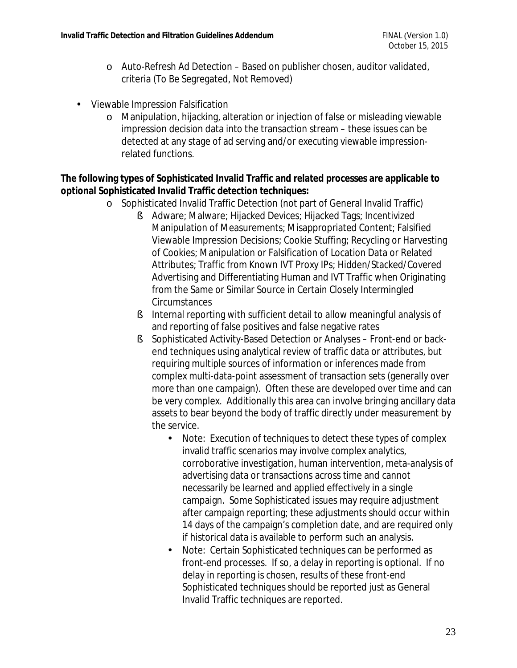- o Auto-Refresh Ad Detection Based on publisher chosen, auditor validated, criteria (To Be Segregated, Not Removed)
- Viewable Impression Falsification
	- o Manipulation, hijacking, alteration or injection of false or misleading viewable impression decision data into the transaction stream – these issues can be detected at any stage of ad serving and/or executing viewable impressionrelated functions.

**The following types of Sophisticated Invalid Traffic and related processes are applicable to optional Sophisticated Invalid Traffic detection techniques:** 

- o Sophisticated Invalid Traffic Detection (not part of General Invalid Traffic)
	- § Adware; Malware; Hijacked Devices; Hijacked Tags; Incentivized Manipulation of Measurements; Misappropriated Content; Falsified Viewable Impression Decisions; Cookie Stuffing; Recycling or Harvesting of Cookies; Manipulation or Falsification of Location Data or Related Attributes; Traffic from Known IVT Proxy IPs; Hidden/Stacked/Covered Advertising and Differentiating Human and IVT Traffic when Originating from the Same or Similar Source in Certain Closely Intermingled Circumstances
	- § Internal reporting with sufficient detail to allow meaningful analysis of and reporting of false positives and false negative rates
	- § Sophisticated Activity-Based Detection or Analyses Front-end or backend techniques using analytical review of traffic data or attributes, but requiring multiple sources of information or inferences made from complex multi-data-point assessment of transaction sets (generally over more than one campaign). Often these are developed over time and can be very complex. Additionally this area can involve bringing ancillary data assets to bear beyond the body of traffic directly under measurement by the service.
		- Note: Execution of techniques to detect these types of complex invalid traffic scenarios may involve complex analytics, corroborative investigation, human intervention, meta-analysis of advertising data or transactions across time and cannot necessarily be learned and applied effectively in a single campaign. Some Sophisticated issues may require adjustment after campaign reporting; these adjustments should occur within 14 days of the campaign's completion date, and are required only if historical data is available to perform such an analysis.
		- Note: Certain Sophisticated techniques can be performed as front-end processes. If so, a delay in reporting is optional. If no delay in reporting is chosen, results of these front-end Sophisticated techniques should be reported just as General Invalid Traffic techniques are reported.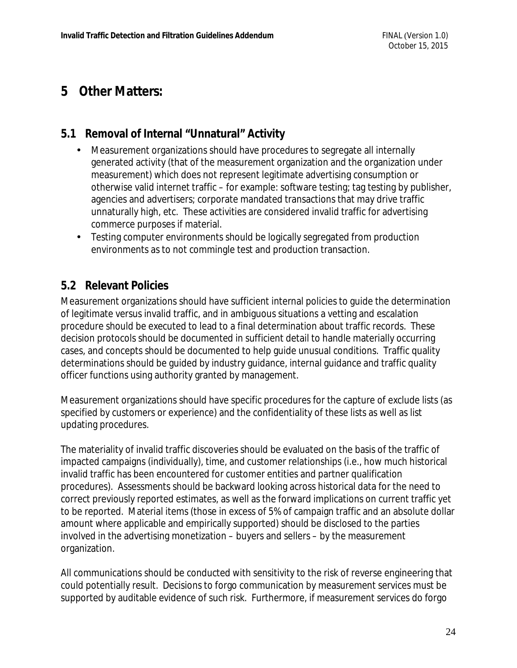### **5 Other Matters:**

### **5.1 Removal of Internal "Unnatural" Activity**

- Measurement organizations should have procedures to segregate all internally generated activity (that of the measurement organization and the organization under measurement) which does not represent legitimate advertising consumption or otherwise valid internet traffic – for example: software testing; tag testing by publisher, agencies and advertisers; corporate mandated transactions that may drive traffic unnaturally high, etc. These activities are considered invalid traffic for advertising commerce purposes if material.
- Testing computer environments should be logically segregated from production environments as to not commingle test and production transaction.

### **5.2 Relevant Policies**

Measurement organizations should have sufficient internal policies to guide the determination of legitimate versus invalid traffic, and in ambiguous situations a vetting and escalation procedure should be executed to lead to a final determination about traffic records. These decision protocols should be documented in sufficient detail to handle materially occurring cases, and concepts should be documented to help guide unusual conditions. Traffic quality determinations should be guided by industry guidance, internal guidance and traffic quality officer functions using authority granted by management.

Measurement organizations should have specific procedures for the capture of exclude lists (as specified by customers or experience) and the confidentiality of these lists as well as list updating procedures.

The materiality of invalid traffic discoveries should be evaluated on the basis of the traffic of impacted campaigns (individually), time, and customer relationships (i.e., how much historical invalid traffic has been encountered for customer entities and partner qualification procedures). Assessments should be backward looking across historical data for the need to correct previously reported estimates, as well as the forward implications on current traffic yet to be reported. Material items (those in excess of 5% of campaign traffic and an absolute dollar amount where applicable and empirically supported) should be disclosed to the parties involved in the advertising monetization – buyers and sellers – by the measurement organization.

All communications should be conducted with sensitivity to the risk of reverse engineering that could potentially result. Decisions to forgo communication by measurement services must be supported by auditable evidence of such risk. Furthermore, if measurement services do forgo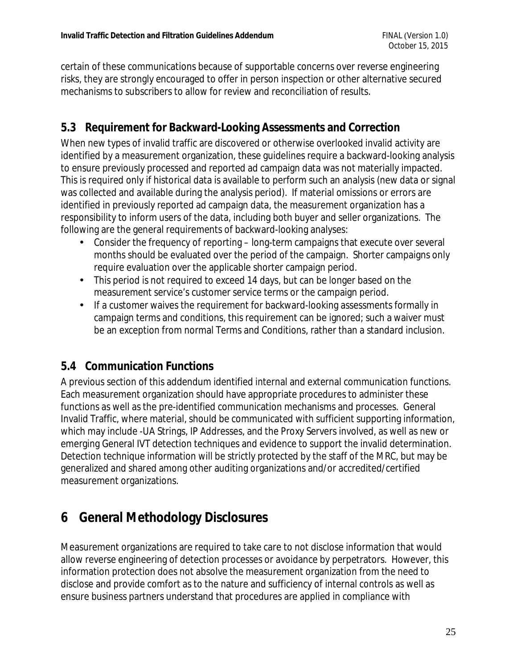certain of these communications because of supportable concerns over reverse engineering risks, they are strongly encouraged to offer in person inspection or other alternative secured mechanisms to subscribers to allow for review and reconciliation of results.

### **5.3 Requirement for Backward-Looking Assessments and Correction**

When new types of invalid traffic are discovered or otherwise overlooked invalid activity are identified by a measurement organization, these guidelines require a backward-looking analysis to ensure previously processed and reported ad campaign data was not materially impacted. This is required only if historical data is available to perform such an analysis (new data or signal was collected and available during the analysis period). If material omissions or errors are identified in previously reported ad campaign data, the measurement organization has a responsibility to inform users of the data, including both buyer and seller organizations. The following are the general requirements of backward-looking analyses:

- Consider the frequency of reporting long-term campaigns that execute over several months should be evaluated over the period of the campaign. Shorter campaigns only require evaluation over the applicable shorter campaign period.
- This period is not required to exceed 14 days, but can be longer based on the measurement service's customer service terms or the campaign period.
- If a customer waives the requirement for backward-looking assessments formally in campaign terms and conditions, this requirement can be ignored; such a waiver must be an exception from normal Terms and Conditions, rather than a standard inclusion.

### **5.4 Communication Functions**

A previous section of this addendum identified internal and external communication functions. Each measurement organization should have appropriate procedures to administer these functions as well as the pre-identified communication mechanisms and processes. General Invalid Traffic, where material, should be communicated with sufficient supporting information, which may include -UA Strings, IP Addresses, and the Proxy Servers involved, as well as new or emerging General IVT detection techniques and evidence to support the invalid determination. Detection technique information will be strictly protected by the staff of the MRC, but may be generalized and shared among other auditing organizations and/or accredited/certified measurement organizations.

## **6 General Methodology Disclosures**

Measurement organizations are required to take care to not disclose information that would allow reverse engineering of detection processes or avoidance by perpetrators. However, this information protection does not absolve the measurement organization from the need to disclose and provide comfort as to the nature and sufficiency of internal controls as well as ensure business partners understand that procedures are applied in compliance with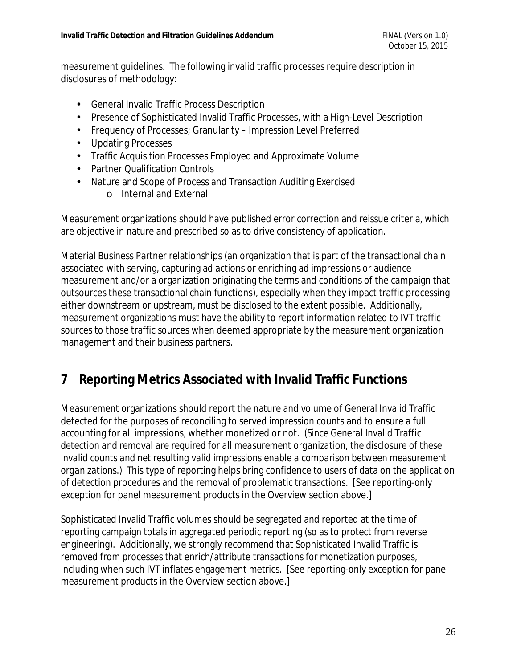measurement guidelines. The following invalid traffic processes require description in disclosures of methodology:

- General Invalid Traffic Process Description
- Presence of Sophisticated Invalid Traffic Processes, with a High-Level Description
- Frequency of Processes; Granularity Impression Level Preferred
- Updating Processes
- Traffic Acquisition Processes Employed and Approximate Volume
- Partner Qualification Controls
- Nature and Scope of Process and Transaction Auditing Exercised
	- o Internal and External

Measurement organizations should have published error correction and reissue criteria, which are objective in nature and prescribed so as to drive consistency of application.

Material Business Partner relationships (an organization that is part of the transactional chain associated with serving, capturing ad actions or enriching ad impressions or audience measurement and/or a organization originating the terms and conditions of the campaign that outsources these transactional chain functions), especially when they impact traffic processing either downstream or upstream, must be disclosed to the extent possible. Additionally, measurement organizations must have the ability to report information related to IVT traffic sources to those traffic sources when deemed appropriate by the measurement organization management and their business partners.

## **7 Reporting Metrics Associated with Invalid Traffic Functions**

Measurement organizations should report the nature and volume of General Invalid Traffic detected for the purposes of reconciling to served impression counts and to ensure a full accounting for all impressions, whether monetized or not. *(Since General Invalid Traffic detection and removal are required for all measurement organization, the disclosure of these invalid counts and net resulting valid impressions enable a comparison between measurement organizations.)* This type of reporting helps bring confidence to users of data on the application of detection procedures and the removal of problematic transactions. [See reporting-only exception for panel measurement products in the Overview section above.]

Sophisticated Invalid Traffic volumes should be segregated and reported at the time of reporting campaign totals in aggregated periodic reporting (so as to protect from reverse engineering). Additionally, we strongly recommend that Sophisticated Invalid Traffic is removed from processes that enrich/attribute transactions for monetization purposes, including when such IVT inflates engagement metrics. [See reporting-only exception for panel measurement products in the Overview section above.]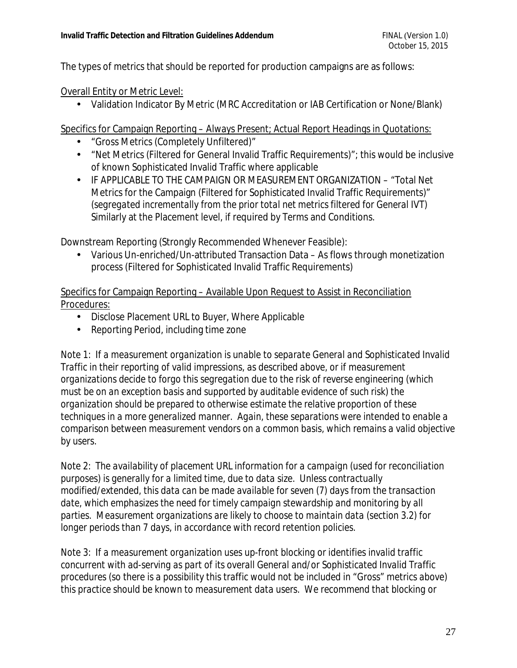The types of metrics that should be reported for production campaigns are as follows:

Overall Entity or Metric Level:

• Validation Indicator By Metric (MRC Accreditation or IAB Certification or None/Blank)

Specifics for Campaign Reporting – Always Present; Actual Report Headings in Quotations:

- "Gross Metrics (Completely Unfiltered)"
- "Net Metrics (Filtered for General Invalid Traffic Requirements)"; this would be inclusive of known Sophisticated Invalid Traffic where applicable
- IF APPLICABLE TO THE CAMPAIGN OR MEASUREMENT ORGANIZATION "Total Net Metrics for the Campaign (Filtered for Sophisticated Invalid Traffic Requirements)" (*segregated incrementally from the prior total net metrics filtered for General IVT*) Similarly at the Placement level, if required by Terms and Conditions.

Downstream Reporting (Strongly Recommended Whenever Feasible):

• Various Un-enriched/Un-attributed Transaction Data – As flows through monetization process (Filtered for Sophisticated Invalid Traffic Requirements)

Specifics for Campaign Reporting – Available Upon Request to Assist in Reconciliation Procedures:

- Disclose Placement URL to Buyer, Where Applicable
- Reporting Period, including time zone

*Note 1: If a measurement organization is unable to separate General and Sophisticated Invalid Traffic in their reporting of valid impressions, as described above, or if measurement organizations decide to forgo this segregation due to the risk of reverse engineering (which must be on an exception basis and supported by auditable evidence of such risk) the organization should be prepared to otherwise estimate the relative proportion of these techniques in a more generalized manner. Again, these separations were intended to enable a comparison between measurement vendors on a common basis, which remains a valid objective by users.* 

*Note 2: The availability of placement URL information for a campaign (used for reconciliation purposes) is generally for a limited time, due to data size. Unless contractually modified/extended, this data can be made available for seven (7) days from the transaction date, which emphasizes the need for timely campaign stewardship and monitoring by all parties. Measurement organizations are likely to choose to maintain data (section 3.2) for longer periods than 7 days, in accordance with record retention policies.* 

*Note 3: If a measurement organization uses up-front blocking or identifies invalid traffic concurrent with ad-serving as part of its overall General and/or Sophisticated Invalid Traffic procedures (so there is a possibility this traffic would not be included in "Gross" metrics above) this practice should be known to measurement data users. We recommend that blocking or*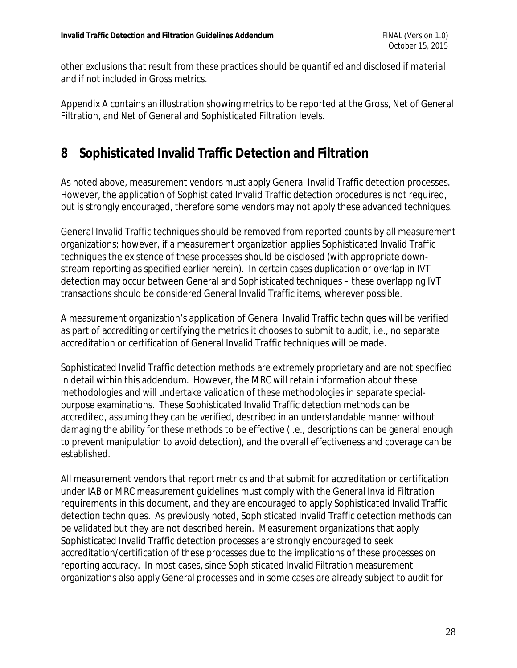*other exclusions that result from these practices should be quantified and disclosed if material and if not included in Gross metrics.* 

Appendix A contains an illustration showing metrics to be reported at the Gross, Net of General Filtration, and Net of General and Sophisticated Filtration levels.

## **8 Sophisticated Invalid Traffic Detection and Filtration**

As noted above, measurement vendors must apply General Invalid Traffic detection processes. However, the application of Sophisticated Invalid Traffic detection procedures is not required, but is strongly encouraged, therefore some vendors may not apply these advanced techniques.

General Invalid Traffic techniques should be removed from reported counts by all measurement organizations; however, if a measurement organization applies Sophisticated Invalid Traffic techniques the existence of these processes should be disclosed (with appropriate downstream reporting as specified earlier herein). In certain cases duplication or overlap in IVT detection may occur between General and Sophisticated techniques – these overlapping IVT transactions should be considered General Invalid Traffic items, wherever possible.

A measurement organization's application of General Invalid Traffic techniques will be verified as part of accrediting or certifying the metrics it chooses to submit to audit, i.e., no separate accreditation or certification of General Invalid Traffic techniques will be made.

Sophisticated Invalid Traffic detection methods are extremely proprietary and are not specified in detail within this addendum. However, the MRC will retain information about these methodologies and will undertake validation of these methodologies in separate specialpurpose examinations. These Sophisticated Invalid Traffic detection methods can be accredited, assuming they can be verified, described in an understandable manner without damaging the ability for these methods to be effective (i.e., descriptions can be general enough to prevent manipulation to avoid detection), and the overall effectiveness and coverage can be established.

All measurement vendors that report metrics and that submit for accreditation or certification under IAB or MRC measurement guidelines must comply with the General Invalid Filtration requirements in this document, and they are encouraged to apply Sophisticated Invalid Traffic detection techniques. As previously noted, Sophisticated Invalid Traffic detection methods can be validated but they are not described herein. Measurement organizations that apply Sophisticated Invalid Traffic detection processes are strongly encouraged to seek accreditation/certification of these processes due to the implications of these processes on reporting accuracy. In most cases, since Sophisticated Invalid Filtration measurement organizations also apply General processes and in some cases are already subject to audit for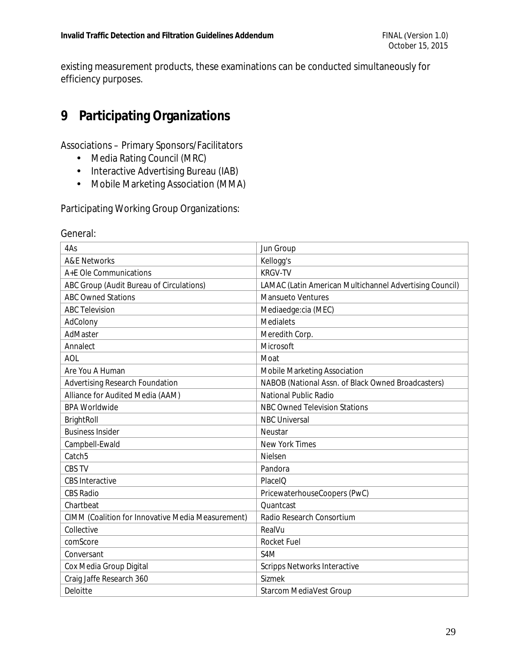existing measurement products, these examinations can be conducted simultaneously for efficiency purposes.

## **9 Participating Organizations**

Associations – Primary Sponsors/Facilitators

- Media Rating Council (MRC)
- Interactive Advertising Bureau (IAB)
- Mobile Marketing Association (MMA)

Participating Working Group Organizations:

| 4As                                                      | Jun Group                                                      |
|----------------------------------------------------------|----------------------------------------------------------------|
| <b>A&amp;E Networks</b>                                  | Kellogg's                                                      |
| A+E Ole Communications                                   | <b>KRGV-TV</b>                                                 |
| ABC Group (Audit Bureau of Circulations)                 | <b>LAMAC (Latin American Multichannel Advertising Council)</b> |
| <b>ABC Owned Stations</b>                                | <b>Mansueto Ventures</b>                                       |
| <b>ABC Television</b>                                    | Mediaedge:cia (MEC)                                            |
| AdColony                                                 | <b>Medialets</b>                                               |
| AdMaster                                                 | Meredith Corp.                                                 |
| Annalect                                                 | Microsoft                                                      |
| <b>AOL</b>                                               | Moat                                                           |
| Are You A Human                                          | <b>Mobile Marketing Association</b>                            |
| <b>Advertising Research Foundation</b>                   | NABOB (National Assn. of Black Owned Broadcasters)             |
| Alliance for Audited Media (AAM)                         | <b>National Public Radio</b>                                   |
| <b>BPA Worldwide</b>                                     | <b>NBC Owned Television Stations</b>                           |
| <b>BrightRoll</b>                                        | <b>NBC Universal</b>                                           |
| <b>Business Insider</b>                                  | Neustar                                                        |
| Campbell-Ewald                                           | <b>New York Times</b>                                          |
| Catch <sub>5</sub>                                       | Nielsen                                                        |
| <b>CBS TV</b>                                            | Pandora                                                        |
| <b>CBS</b> Interactive                                   | PlaceIQ                                                        |
| <b>CBS Radio</b>                                         | PricewaterhouseCoopers (PwC)                                   |
| Chartbeat                                                | Quantcast                                                      |
| <b>CIMM (Coalition for Innovative Media Measurement)</b> | Radio Research Consortium                                      |
| Collective                                               | RealVu                                                         |
| comScore                                                 | <b>Rocket Fuel</b>                                             |
| Conversant                                               | S <sub>4</sub> M                                               |
| Cox Media Group Digital                                  | <b>Scripps Networks Interactive</b>                            |
| Craig Jaffe Research 360                                 | <b>Sizmek</b>                                                  |
| <b>Deloitte</b>                                          | <b>Starcom MediaVest Group</b>                                 |

#### General: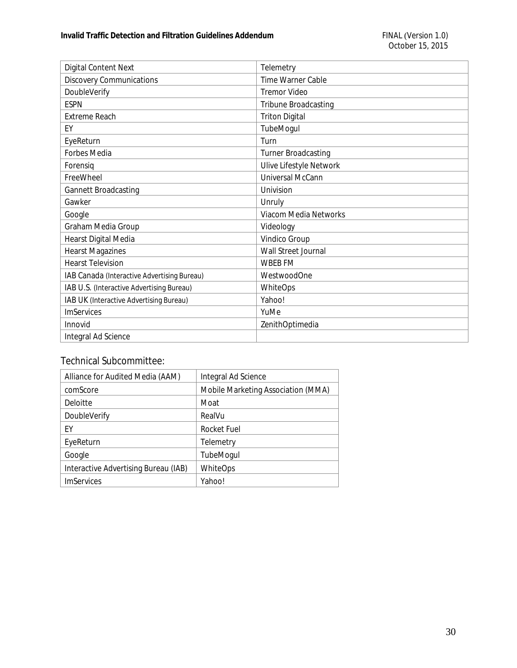| <b>Digital Content Next</b>                 | Telemetry                      |
|---------------------------------------------|--------------------------------|
| <b>Discovery Communications</b>             | Time Warner Cable              |
| DoubleVerify                                | <b>Tremor Video</b>            |
| <b>ESPN</b>                                 | <b>Tribune Broadcasting</b>    |
| <b>Extreme Reach</b>                        | <b>Triton Digital</b>          |
| EY                                          | TubeMogul                      |
| EyeReturn                                   | Turn                           |
| <b>Forbes Media</b>                         | <b>Turner Broadcasting</b>     |
| Forensig                                    | <b>Ulive Lifestyle Network</b> |
| FreeWheel                                   | <b>Universal McCann</b>        |
| <b>Gannett Broadcasting</b>                 | Univision                      |
| Gawker                                      | <b>Unruly</b>                  |
| Google                                      | <b>Viacom Media Networks</b>   |
| Graham Media Group                          | Videology                      |
| <b>Hearst Digital Media</b>                 | <b>Vindico Group</b>           |
| <b>Hearst Magazines</b>                     | <b>Wall Street Journal</b>     |
| <b>Hearst Television</b>                    | <b>WBEB FM</b>                 |
| IAB Canada (Interactive Advertising Bureau) | <b>WestwoodOne</b>             |
| IAB U.S. (Interactive Advertising Bureau)   | <b>WhiteOps</b>                |
| IAB UK (Interactive Advertising Bureau)     | Yahoo!                         |
| <b>ImServices</b>                           | YuMe                           |
| Innovid                                     | ZenithOptimedia                |
| Integral Ad Science                         |                                |

#### Technical Subcommittee:

| Alliance for Audited Media (AAM)     | Integral Ad Science                       |
|--------------------------------------|-------------------------------------------|
| comScore                             | <b>Mobile Marketing Association (MMA)</b> |
| Deloitte                             | Moat                                      |
| DoubleVerify                         | RealVu                                    |
| ΕY                                   | <b>Rocket Fuel</b>                        |
| EyeReturn                            | Telemetry                                 |
| Google                               | <b>TubeMogul</b>                          |
| Interactive Advertising Bureau (IAB) | WhiteOps                                  |
| <b>ImServices</b>                    | Yahoo!                                    |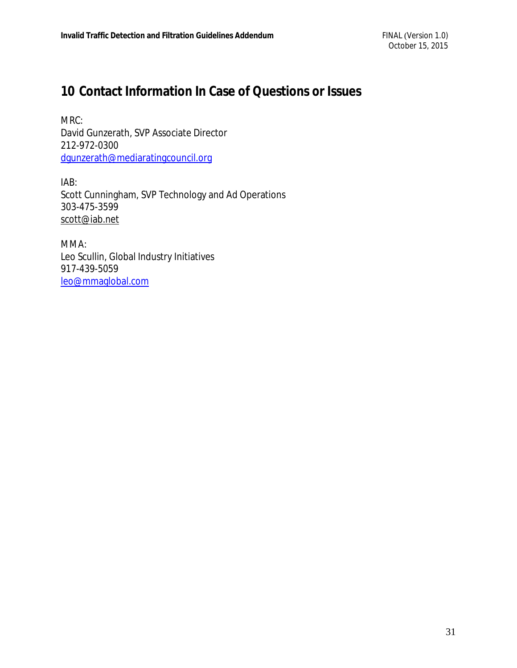## **10 Contact Information In Case of Questions or Issues**

MRC: David Gunzerath, SVP Associate Director 212-972-0300 [dgunzerath@mediaratingcouncil.org](mailto:dgunzerath@mediaratingcouncil.org)

IAB: Scott Cunningham, SVP Technology and Ad Operations 303-475-3599 [scott@iab.net](mailto:scott@iab.net)

MMA: Leo Scullin, Global Industry Initiatives 917-439-5059 [leo@mmaglobal.com](mailto:leo@mmaglobal.com)